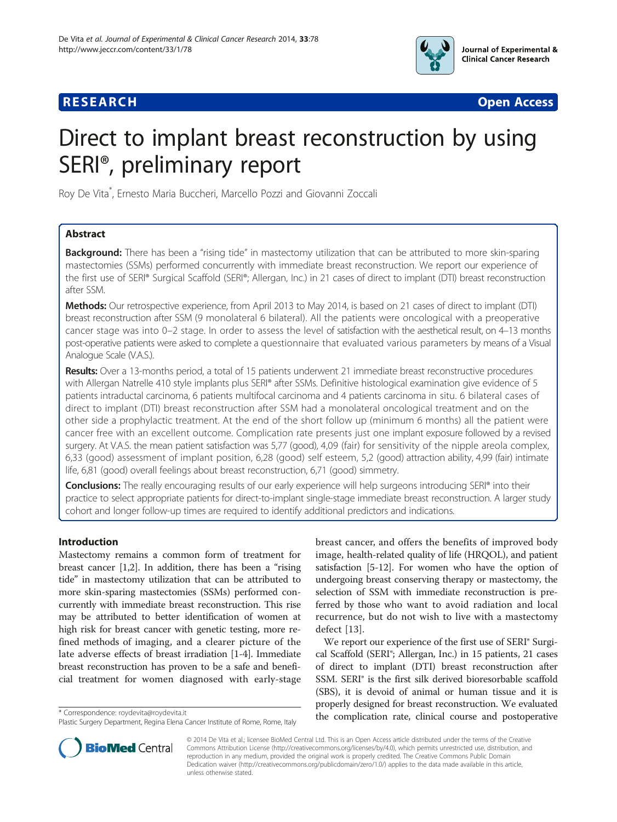



# Direct to implant breast reconstruction by using SERI®, preliminary report

Roy De Vita\* , Ernesto Maria Buccheri, Marcello Pozzi and Giovanni Zoccali

# Abstract

**Background:** There has been a "rising tide" in mastectomy utilization that can be attributed to more skin-sparing mastectomies (SSMs) performed concurrently with immediate breast reconstruction. We report our experience of the first use of SERI® Surgical Scaffold (SERI®; Allergan, Inc.) in 21 cases of direct to implant (DTI) breast reconstruction after SSM.

Methods: Our retrospective experience, from April 2013 to May 2014, is based on 21 cases of direct to implant (DTI) breast reconstruction after SSM (9 monolateral 6 bilateral). All the patients were oncological with a preoperative cancer stage was into 0–2 stage. In order to assess the level of satisfaction with the aesthetical result, on 4–13 months post-operative patients were asked to complete a questionnaire that evaluated various parameters by means of a Visual Analogue Scale (V.A.S.).

Results: Over a 13-months period, a total of 15 patients underwent 21 immediate breast reconstructive procedures with Allergan Natrelle 410 style implants plus SERI® after SSMs. Definitive histological examination give evidence of 5 patients intraductal carcinoma, 6 patients multifocal carcinoma and 4 patients carcinoma in situ. 6 bilateral cases of direct to implant (DTI) breast reconstruction after SSM had a monolateral oncological treatment and on the other side a prophylactic treatment. At the end of the short follow up (minimum 6 months) all the patient were cancer free with an excellent outcome. Complication rate presents just one implant exposure followed by a revised surgery. At V.A.S. the mean patient satisfaction was 5,77 (good), 4,09 (fair) for sensitivity of the nipple areola complex, 6,33 (good) assessment of implant position, 6,28 (good) self esteem, 5,2 (good) attraction ability, 4,99 (fair) intimate life, 6,81 (good) overall feelings about breast reconstruction, 6,71 (good) simmetry.

Conclusions: The really encouraging results of our early experience will help surgeons introducing SERI® into their practice to select appropriate patients for direct-to-implant single-stage immediate breast reconstruction. A larger study cohort and longer follow-up times are required to identify additional predictors and indications.

# Introduction

Mastectomy remains a common form of treatment for breast cancer [\[1,2](#page-5-0)]. In addition, there has been a "rising tide" in mastectomy utilization that can be attributed to more skin-sparing mastectomies (SSMs) performed concurrently with immediate breast reconstruction. This rise may be attributed to better identification of women at high risk for breast cancer with genetic testing, more refined methods of imaging, and a clearer picture of the late adverse effects of breast irradiation [\[1-4](#page-5-0)]. Immediate breast reconstruction has proven to be a safe and beneficial treatment for women diagnosed with early-stage

breast cancer, and offers the benefits of improved body image, health-related quality of life (HRQOL), and patient satisfaction [\[5-12](#page-5-0)]. For women who have the option of undergoing breast conserving therapy or mastectomy, the selection of SSM with immediate reconstruction is preferred by those who want to avoid radiation and local recurrence, but do not wish to live with a mastectomy defect [\[13\]](#page-5-0).

We report our experience of the first use of SERI<sup>®</sup> Surgical Scaffold (SERI®; Allergan, Inc.) in 15 patients, 21 cases of direct to implant (DTI) breast reconstruction after SSM. SERI® is the first silk derived bioresorbable scaffold (SBS), it is devoid of animal or human tissue and it is properly designed for breast reconstruction. We evaluated the complication rate, clinical course and postoperative \* Correspondence: [roydevita@roydevita.it](mailto:roydevita@roydevita.it)



© 2014 De Vita et al.; licensee BioMed Central Ltd. This is an Open Access article distributed under the terms of the Creative Commons Attribution License [\(http://creativecommons.org/licenses/by/4.0\)](http://creativecommons.org/licenses/by/4.0), which permits unrestricted use, distribution, and reproduction in any medium, provided the original work is properly credited. The Creative Commons Public Domain Dedication waiver [\(http://creativecommons.org/publicdomain/zero/1.0/](http://creativecommons.org/publicdomain/zero/1.0/)) applies to the data made available in this article, unless otherwise stated.

Plastic Surgery Department, Regina Elena Cancer Institute of Rome, Rome, Italy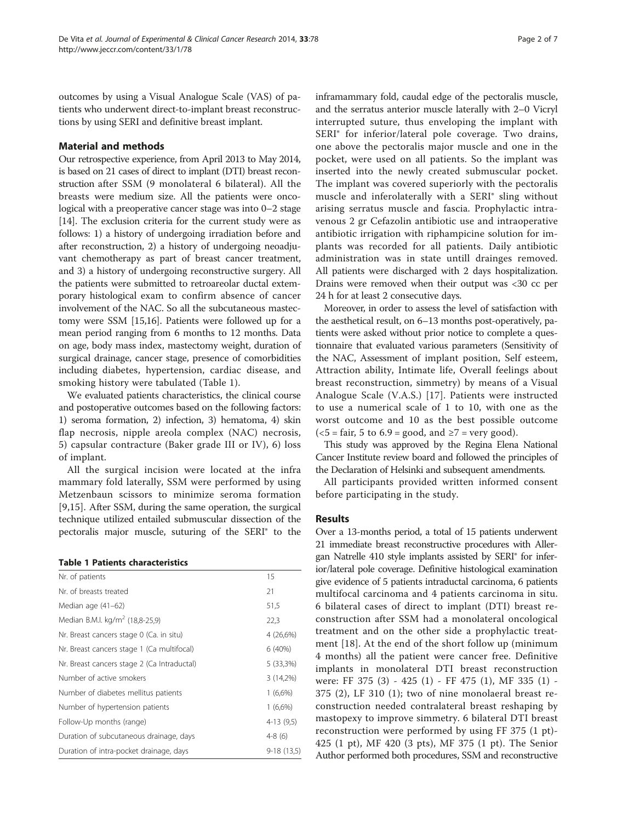outcomes by using a Visual Analogue Scale (VAS) of patients who underwent direct-to-implant breast reconstructions by using SERI and definitive breast implant.

# Material and methods

Our retrospective experience, from April 2013 to May 2014, is based on 21 cases of direct to implant (DTI) breast reconstruction after SSM (9 monolateral 6 bilateral). All the breasts were medium size. All the patients were oncological with a preoperative cancer stage was into 0–2 stage [[14](#page-5-0)]. The exclusion criteria for the current study were as follows: 1) a history of undergoing irradiation before and after reconstruction, 2) a history of undergoing neoadjuvant chemotherapy as part of breast cancer treatment, and 3) a history of undergoing reconstructive surgery. All the patients were submitted to retroareolar ductal extemporary histological exam to confirm absence of cancer involvement of the NAC. So all the subcutaneous mastectomy were SSM [[15](#page-5-0),[16](#page-5-0)]. Patients were followed up for a mean period ranging from 6 months to 12 months. Data on age, body mass index, mastectomy weight, duration of surgical drainage, cancer stage, presence of comorbidities including diabetes, hypertension, cardiac disease, and smoking history were tabulated (Table 1).

We evaluated patients characteristics, the clinical course and postoperative outcomes based on the following factors: 1) seroma formation, 2) infection, 3) hematoma, 4) skin flap necrosis, nipple areola complex (NAC) necrosis, 5) capsular contracture (Baker grade III or IV), 6) loss of implant.

All the surgical incision were located at the infra mammary fold laterally, SSM were performed by using Metzenbaun scissors to minimize seroma formation [[9,15](#page-5-0)]. After SSM, during the same operation, the surgical technique utilized entailed submuscular dissection of the pectoralis major muscle, suturing of the SERI® to the

#### Table 1 Patients characteristics

| Nr. of patients                             | 15           |
|---------------------------------------------|--------------|
| Nr. of breasts treated                      | 21           |
| Median age (41–62)                          | 51,5         |
| Median B.M.I. kg/m <sup>2</sup> (18,8-25,9) | 22,3         |
| Nr. Breast cancers stage 0 (Ca. in situ)    | 4 (26,6%)    |
| Nr. Breast cancers stage 1 (Ca multifocal)  | 6(40%)       |
| Nr. Breast cancers stage 2 (Ca Intraductal) | 5 (33,3%)    |
| Number of active smokers                    | $3(14,2\%)$  |
| Number of diabetes mellitus patients        | $1(6,6\%)$   |
| Number of hypertension patients             | $1(6,6\%)$   |
| Follow-Up months (range)                    | $4-13(9,5)$  |
| Duration of subcutaneous drainage, days     | $4-8(6)$     |
| Duration of intra-pocket drainage, days     | $9-18(13,5)$ |

inframammary fold, caudal edge of the pectoralis muscle, and the serratus anterior muscle laterally with 2–0 Vicryl interrupted suture, thus enveloping the implant with SERI<sup>®</sup> for inferior/lateral pole coverage. Two drains, one above the pectoralis major muscle and one in the pocket, were used on all patients. So the implant was inserted into the newly created submuscular pocket. The implant was covered superiorly with the pectoralis muscle and inferolaterally with a SERI® sling without arising serratus muscle and fascia. Prophylactic intravenous 2 gr Cefazolin antibiotic use and intraoperative antibiotic irrigation with riphampicine solution for implants was recorded for all patients. Daily antibiotic administration was in state untill drainges removed. All patients were discharged with 2 days hospitalization. Drains were removed when their output was <30 cc per 24 h for at least 2 consecutive days.

Moreover, in order to assess the level of satisfaction with the aesthetical result, on 6–13 months post-operatively, patients were asked without prior notice to complete a questionnaire that evaluated various parameters (Sensitivity of the NAC, Assessment of implant position, Self esteem, Attraction ability, Intimate life, Overall feelings about breast reconstruction, simmetry) by means of a Visual Analogue Scale (V.A.S.) [[17\]](#page-5-0). Patients were instructed to use a numerical scale of 1 to 10, with one as the worst outcome and 10 as the best possible outcome  $( $5 = \text{fair}, 5 \text{ to } 6.9 = \text{good}, \text{ and } \geq 7 = \text{very good}$ ).$ 

This study was approved by the Regina Elena National Cancer Institute review board and followed the principles of the Declaration of Helsinki and subsequent amendments.

All participants provided written informed consent before participating in the study.

### Results

Over a 13-months period, a total of 15 patients underwent 21 immediate breast reconstructive procedures with Allergan Natrelle 410 style implants assisted by SERI® for inferior/lateral pole coverage. Definitive histological examination give evidence of 5 patients intraductal carcinoma, 6 patients multifocal carcinoma and 4 patients carcinoma in situ. 6 bilateral cases of direct to implant (DTI) breast reconstruction after SSM had a monolateral oncological treatment and on the other side a prophylactic treatment [[18\]](#page-5-0). At the end of the short follow up (minimum 4 months) all the patient were cancer free. Definitive implants in monolateral DTI breast reconstruction were: FF 375 (3) - 425 (1) - FF 475 (1), MF 335 (1) - 375 (2), LF 310 (1); two of nine monolaeral breast reconstruction needed contralateral breast reshaping by mastopexy to improve simmetry. 6 bilateral DTI breast reconstruction were performed by using FF 375 (1 pt)- 425 (1 pt), MF 420 (3 pts), MF 375 (1 pt). The Senior Author performed both procedures, SSM and reconstructive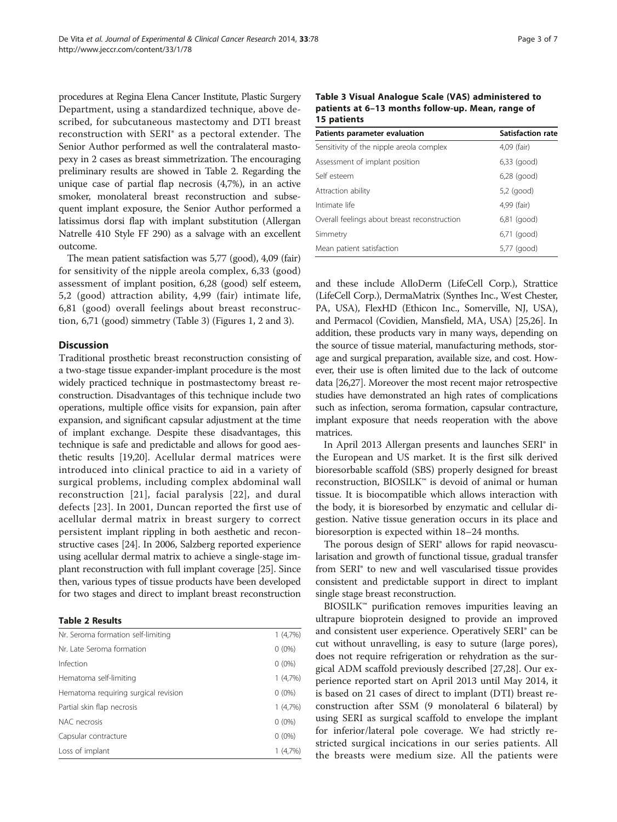procedures at Regina Elena Cancer Institute, Plastic Surgery Department, using a standardized technique, above described, for subcutaneous mastectomy and DTI breast reconstruction with SERI® as a pectoral extender. The Senior Author performed as well the contralateral mastopexy in 2 cases as breast simmetrization. The encouraging preliminary results are showed in Table 2. Regarding the unique case of partial flap necrosis (4,7%), in an active smoker, monolateral breast reconstruction and subsequent implant exposure, the Senior Author performed a latissimus dorsi flap with implant substitution (Allergan Natrelle 410 Style FF 290) as a salvage with an excellent outcome.

The mean patient satisfaction was 5,77 (good), 4,09 (fair) for sensitivity of the nipple areola complex, 6,33 (good) assessment of implant position, 6,28 (good) self esteem, 5,2 (good) attraction ability, 4,99 (fair) intimate life, 6,81 (good) overall feelings about breast reconstruction, 6,71 (good) simmetry (Table 3) (Figures [1](#page-3-0), [2](#page-3-0) and [3\)](#page-4-0).

# **Discussion**

Traditional prosthetic breast reconstruction consisting of a two-stage tissue expander-implant procedure is the most widely practiced technique in postmastectomy breast reconstruction. Disadvantages of this technique include two operations, multiple office visits for expansion, pain after expansion, and significant capsular adjustment at the time of implant exchange. Despite these disadvantages, this technique is safe and predictable and allows for good aesthetic results [\[19,20](#page-5-0)]. Acellular dermal matrices were introduced into clinical practice to aid in a variety of surgical problems, including complex abdominal wall reconstruction [[21](#page-5-0)], facial paralysis [[22\]](#page-5-0), and dural defects [\[23\]](#page-5-0). In 2001, Duncan reported the first use of acellular dermal matrix in breast surgery to correct persistent implant rippling in both aesthetic and reconstructive cases [\[24](#page-5-0)]. In 2006, Salzberg reported experience using acellular dermal matrix to achieve a single-stage implant reconstruction with full implant coverage [[25](#page-5-0)]. Since then, various types of tissue products have been developed for two stages and direct to implant breast reconstruction

#### Table 2 Results

| Nr. Seroma formation self-limiting   | 1(4,7%)    |
|--------------------------------------|------------|
| Nr. Late Seroma formation            | $0(0\%)$   |
| Infection                            | $0(0\%)$   |
| Hematoma self-limiting               | 1(4,7%)    |
| Hematoma requiring surgical revision | $0(0\%)$   |
| Partial skin flap necrosis           | 1(4,7%)    |
| NAC necrosis                         | $0(0\%)$   |
| Capsular contracture                 | $0(0\%)$   |
| Loss of implant                      | $1(4.7\%)$ |

Table 3 Visual Analogue Scale (VAS) administered to patients at 6–13 months follow-up. Mean, range of 15 patients

| Patients parameter evaluation                | <b>Satisfaction rate</b> |
|----------------------------------------------|--------------------------|
| Sensitivity of the nipple areola complex     | 4,09 (fair)              |
| Assessment of implant position               | $6,33$ (good)            |
| Self esteem                                  | $6,28$ (good)            |
| Attraction ability                           | $5,2$ (good)             |
| Intimate life                                | 4,99 (fair)              |
| Overall feelings about breast reconstruction | $6,81$ (good)            |
| Simmetry                                     | $6,71$ (good)            |
| Mean patient satisfaction                    | 5,77 (good)              |

and these include AlloDerm (LifeCell Corp.), Strattice (LifeCell Corp.), DermaMatrix (Synthes Inc., West Chester, PA, USA), FlexHD (Ethicon Inc., Somerville, NJ, USA), and Permacol (Covidien, Mansfield, MA, USA) [[25,26\]](#page-5-0). In addition, these products vary in many ways, depending on the source of tissue material, manufacturing methods, storage and surgical preparation, available size, and cost. However, their use is often limited due to the lack of outcome data [\[26,27](#page-5-0)]. Moreover the most recent major retrospective studies have demonstrated an high rates of complications such as infection, seroma formation, capsular contracture, implant exposure that needs reoperation with the above matrices.

In April 2013 Allergan presents and launches SERI® in the European and US market. It is the first silk derived bioresorbable scaffold (SBS) properly designed for breast reconstruction, BIOSILK™ is devoid of animal or human tissue. It is biocompatible which allows interaction with the body, it is bioresorbed by enzymatic and cellular digestion. Native tissue generation occurs in its place and bioresorption is expected within 18–24 months.

The porous design of SERI® allows for rapid neovascularisation and growth of functional tissue, gradual transfer from SERI® to new and well vascularised tissue provides consistent and predictable support in direct to implant single stage breast reconstruction.

BIOSILK™ purification removes impurities leaving an ultrapure bioprotein designed to provide an improved and consistent user experience. Operatively SERI® can be cut without unravelling, is easy to suture (large pores), does not require refrigeration or rehydration as the surgical ADM scaffold previously described [\[27,28\]](#page-5-0). Our experience reported start on April 2013 until May 2014, it is based on 21 cases of direct to implant (DTI) breast reconstruction after SSM (9 monolateral 6 bilateral) by using SERI as surgical scaffold to envelope the implant for inferior/lateral pole coverage. We had strictly restricted surgical incications in our series patients. All the breasts were medium size. All the patients were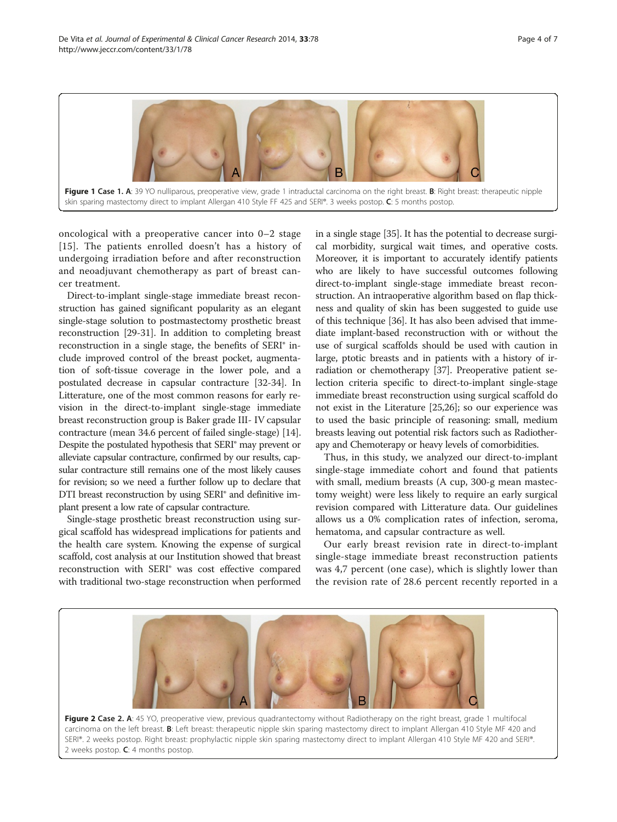<span id="page-3-0"></span>

Figure 1 Case 1. A: 39 YO nulliparous, preoperative view, grade 1 intraductal carcinoma on the right breast. B: Right breast: therapeutic nipple skin sparing mastectomy direct to implant Allergan 410 Style FF 425 and SERI®. 3 weeks postop. C: 5 months postop.

oncological with a preoperative cancer into 0–2 stage [[15](#page-5-0)]. The patients enrolled doesn't has a history of undergoing irradiation before and after reconstruction and neoadjuvant chemotherapy as part of breast cancer treatment.

Direct-to-implant single-stage immediate breast reconstruction has gained significant popularity as an elegant single-stage solution to postmastectomy prosthetic breast reconstruction [[29](#page-5-0)-[31](#page-5-0)]. In addition to completing breast reconstruction in a single stage, the benefits of SERI® include improved control of the breast pocket, augmentation of soft-tissue coverage in the lower pole, and a postulated decrease in capsular contracture [[32](#page-5-0)-[34\]](#page-5-0). In Litterature, one of the most common reasons for early revision in the direct-to-implant single-stage immediate breast reconstruction group is Baker grade III- IV capsular contracture (mean 34.6 percent of failed single-stage) [[14](#page-5-0)]. Despite the postulated hypothesis that SERI® may prevent or alleviate capsular contracture, confirmed by our results, capsular contracture still remains one of the most likely causes for revision; so we need a further follow up to declare that DTI breast reconstruction by using SERI<sup>®</sup> and definitive implant present a low rate of capsular contracture.

Single-stage prosthetic breast reconstruction using surgical scaffold has widespread implications for patients and the health care system. Knowing the expense of surgical scaffold, cost analysis at our Institution showed that breast reconstruction with SERI® was cost effective compared with traditional two-stage reconstruction when performed in a single stage [\[35\]](#page-5-0). It has the potential to decrease surgical morbidity, surgical wait times, and operative costs. Moreover, it is important to accurately identify patients who are likely to have successful outcomes following direct-to-implant single-stage immediate breast reconstruction. An intraoperative algorithm based on flap thickness and quality of skin has been suggested to guide use of this technique [\[36\]](#page-6-0). It has also been advised that immediate implant-based reconstruction with or without the use of surgical scaffolds should be used with caution in large, ptotic breasts and in patients with a history of irradiation or chemotherapy [[37](#page-6-0)]. Preoperative patient selection criteria specific to direct-to-implant single-stage immediate breast reconstruction using surgical scaffold do not exist in the Literature [\[25,26\]](#page-5-0); so our experience was to used the basic principle of reasoning: small, medium breasts leaving out potential risk factors such as Radiotherapy and Chemoterapy or heavy levels of comorbidities.

Thus, in this study, we analyzed our direct-to-implant single-stage immediate cohort and found that patients with small, medium breasts (A cup, 300-g mean mastectomy weight) were less likely to require an early surgical revision compared with Litterature data. Our guidelines allows us a 0% complication rates of infection, seroma, hematoma, and capsular contracture as well.

Our early breast revision rate in direct-to-implant single-stage immediate breast reconstruction patients was 4,7 percent (one case), which is slightly lower than the revision rate of 28.6 percent recently reported in a



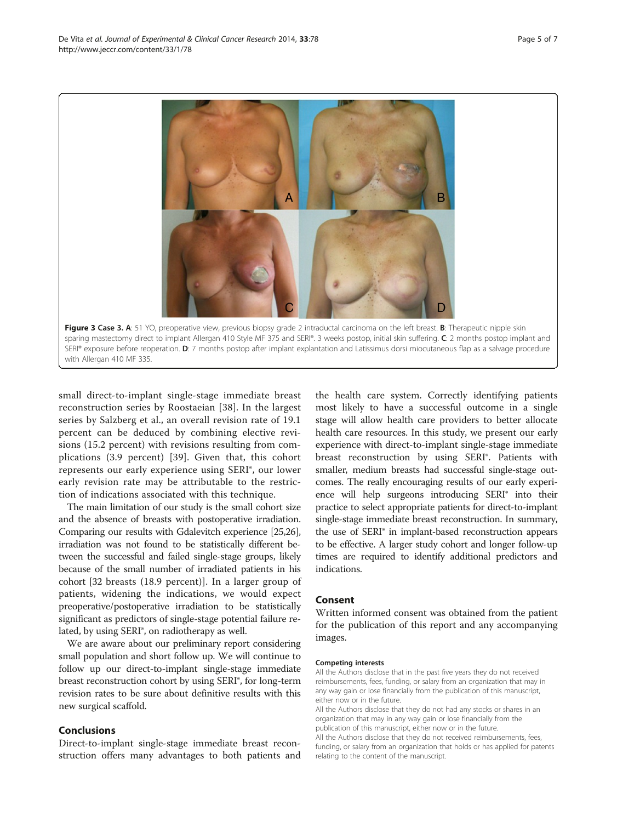<span id="page-4-0"></span>

small direct-to-implant single-stage immediate breast reconstruction series by Roostaeian [[38\]](#page-6-0). In the largest series by Salzberg et al., an overall revision rate of 19.1 percent can be deduced by combining elective revisions (15.2 percent) with revisions resulting from complications (3.9 percent) [[39](#page-6-0)]. Given that, this cohort represents our early experience using SERI®, our lower early revision rate may be attributable to the restriction of indications associated with this technique.

The main limitation of our study is the small cohort size and the absence of breasts with postoperative irradiation. Comparing our results with Gdalevitch experience [\[25,26](#page-5-0)], irradiation was not found to be statistically different between the successful and failed single-stage groups, likely because of the small number of irradiated patients in his cohort [32 breasts (18.9 percent)]. In a larger group of patients, widening the indications, we would expect preoperative/postoperative irradiation to be statistically significant as predictors of single-stage potential failure related, by using SERI®, on radiotherapy as well.

We are aware about our preliminary report considering small population and short follow up. We will continue to follow up our direct-to-implant single-stage immediate breast reconstruction cohort by using SERI®, for long-term revision rates to be sure about definitive results with this new surgical scaffold.

# **Conclusions**

Direct-to-implant single-stage immediate breast reconstruction offers many advantages to both patients and the health care system. Correctly identifying patients most likely to have a successful outcome in a single stage will allow health care providers to better allocate health care resources. In this study, we present our early experience with direct-to-implant single-stage immediate breast reconstruction by using SERI®. Patients with smaller, medium breasts had successful single-stage outcomes. The really encouraging results of our early experience will help surgeons introducing SERI® into their practice to select appropriate patients for direct-to-implant single-stage immediate breast reconstruction. In summary, the use of SERI® in implant-based reconstruction appears to be effective. A larger study cohort and longer follow-up times are required to identify additional predictors and indications.

# Consent

Written informed consent was obtained from the patient for the publication of this report and any accompanying images.

#### Competing interests

All the Authors disclose that in the past five years they do not received reimbursements, fees, funding, or salary from an organization that may in any way gain or lose financially from the publication of this manuscript, either now or in the future.

All the Authors disclose that they do not had any stocks or shares in an organization that may in any way gain or lose financially from the publication of this manuscript, either now or in the future.

All the Authors disclose that they do not received reimbursements, fees, funding, or salary from an organization that holds or has applied for patents relating to the content of the manuscript.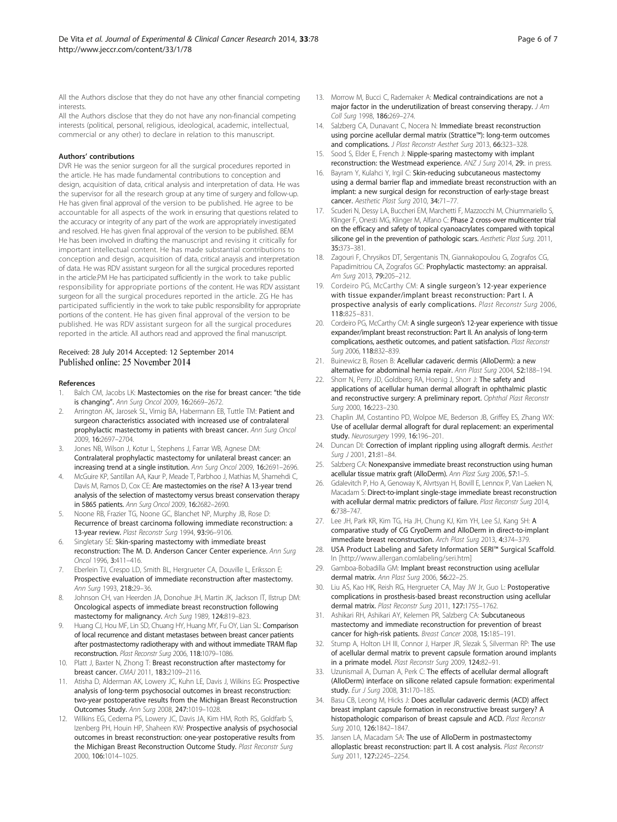<span id="page-5-0"></span>All the Authors disclose that they do not have any other financial competing interests.

All the Authors disclose that they do not have any non-financial competing interests (political, personal, religious, ideological, academic, intellectual, commercial or any other) to declare in relation to this manuscript.

#### Authors' contributions

DVR He was the senior surgeon for all the surgical procedures reported in the article. He has made fundamental contributions to conception and design, acquisition of data, critical analysis and interpretation of data. He was the supervisor for all the research group at any time of surgery and follow-up. He has given final approval of the version to be published. He agree to be accountable for all aspects of the work in ensuring that questions related to the accuracy or integrity of any part of the work are appropriately investigated and resolved. He has given final approval of the version to be published. BEM He has been involved in drafting the manuscript and revising it critically for important intellectual content. He has made substantial contributions to conception and design, acquisition of data, critical anaysis and interpretation of data. He was RDV assistant surgeon for all the surgical procedures reported in the article.PM He has participated sufficiently in the work to take public responsibility for appropriate portions of the content. He was RDV assistant surgeon for all the surgical procedures reported in the article. ZG He has participated sufficiently in the work to take public responsibility for appropriate portions of the content. He has given final approval of the version to be published. He was RDV assistant surgeon for all the surgical procedures reported in the article. All authors read and approved the final manuscript.

#### Received: 28 July 2014 Accepted: 12 September 2014 Published online: 25 November 2014

#### References

- 1. Balch CM, Jacobs LK: Mastectomies on the rise for breast cancer: "the tide is changing". Ann Surg Oncol 2009, 16:2669–2672.
- Arrington AK, Jarosek SL, Virnig BA, Habermann EB, Tuttle TM: Patient and surgeon characteristics associated with increased use of contralateral prophylactic mastectomy in patients with breast cancer. Ann Surg Oncol 2009, 16:2697–2704.
- Jones NB, Wilson J, Kotur L, Stephens J, Farrar WB, Agnese DM: Contralateral prophylactic mastectomy for unilateral breast cancer: an increasing trend at a single institution. Ann Surg Oncol 2009, 16:2691–2696.
- McGuire KP, Santillan AA, Kaur P, Meade T, Parbhoo J, Mathias M, Shamehdi C, Davis M, Ramos D, Cox CE: Are mastectomies on the rise? A 13-year trend analysis of the selection of mastectomy versus breast conservation therapy in 5865 patients. Ann Surg Oncol 2009, 16:2682–2690.
- 5. Noone RB, Frazier TG, Noone GC, Blanchet NP, Murphy JB, Rose D: Recurrence of breast carcinoma following immediate reconstruction: a 13-year review. Plast Reconstr Surg 1994, 93:96-9106.
- Singletary SE: Skin-sparing mastectomy with immediate breast reconstruction: The M. D. Anderson Cancer Center experience. Ann Surg Oncol 1996, 3:411–416.
- 7. Eberlein TJ, Crespo LD, Smith BL, Hergrueter CA, Douville L, Eriksson E: Prospective evaluation of immediate reconstruction after mastectomy. Ann Surg 1993, 218:29–36.
- 8. Johnson CH, van Heerden JA, Donohue JH, Martin JK, Jackson IT, Ilstrup DM: Oncological aspects of immediate breast reconstruction following mastectomy for malignancy. Arch Surg 1989, 124:819–823.
- 9. Huang CJ, Hou MF, Lin SD, Chuang HY, Huang MY, Fu OY, Lian SL: Comparison of local recurrence and distant metastases between breast cancer patients after postmastectomy radiotherapy with and without immediate TRAM flap reconstruction. Plast Reconstr Surg 2006, 118:1079–1086.
- 10. Platt J, Baxter N, Zhong T: Breast reconstruction after mastectomy for breast cancer. CMAJ 2011, 183:2109–2116.
- 11. Atisha D, Alderman AK, Lowery JC, Kuhn LE, Davis J, Wilkins EG: Prospective analysis of long-term psychosocial outcomes in breast reconstruction: two-year postoperative results from the Michigan Breast Reconstruction Outcomes Study. Ann Surg 2008, 247:1019–1028.
- 12. Wilkins EG, Cederna PS, Lowery JC, Davis JA, Kim HM, Roth RS, Goldfarb S, Izenberg PH, Houin HP, Shaheen KW: Prospective analysis of psychosocial outcomes in breast reconstruction: one-year postoperative results from the Michigan Breast Reconstruction Outcome Study. Plast Reconstr Surg 2000, 106:1014–1025.
- 13. Morrow M, Bucci C, Rademaker A: **Medical contraindications are not a** major factor in the underutilization of breast conserving therapy. J Am Coll Surg 1998, 186:269–274.
- 14. Salzberg CA, Dunavant C, Nocera N: Immediate breast reconstruction using porcine acellular dermal matrix (Strattice™): long-term outcomes and complications. J Plast Reconstr Aesthet Surg 2013, 66:323–328.
- 15. Sood S, Elder E, French J: Nipple-sparing mastectomy with implant reconstruction: the Westmead experience. ANZ J Surg 2014, 29: in press.
- 16. Bayram Y, Kulahci Y, Irgil C: Skin-reducing subcutaneous mastectomy using a dermal barrier flap and immediate breast reconstruction with an implant: a new surgical design for reconstruction of early-stage breast cancer. Aesthetic Plast Surg 2010, 34:71-77.
- 17. Scuderi N, Dessy LA, Buccheri EM, Marchetti F, Mazzocchi M, Chiummariello S, Klinger F, Onesti MG, Klinger M, Alfano C: Phase 2 cross-over multicenter trial on the efficacy and safety of topical cyanoacrylates compared with topical silicone gel in the prevention of pathologic scars. Aesthetic Plast Surg. 2011, 35:373–381.
- 18. Zagouri F, Chrysikos DT, Sergentanis TN, Giannakopoulou G, Zografos CG, Papadimitriou CA, Zografos GC: Prophylactic mastectomy: an appraisal. Am Surg 2013, 79:205–212.
- 19. Cordeiro PG, McCarthy CM: A single surgeon's 12-year experience with tissue expander/implant breast reconstruction: Part I. A prospective analysis of early complications. Plast Reconstr Surg 2006, 118:825–831.
- 20. Cordeiro PG, McCarthy CM: A single surgeon's 12-year experience with tissue expander/implant breast reconstruction: Part II. An analysis of long-term complications, aesthetic outcomes, and patient satisfaction. Plast Reconstr Surg 2006, 118:832–839.
- 21. Buinewicz B, Rosen B: Acellular cadaveric dermis (AlloDerm): a new alternative for abdominal hernia repair. Ann Plast Surg 2004, 52:188–194.
- 22. Shorr N, Perry JD, Goldberg RA, Hoenig J, Shorr J: The safety and applications of acellular human dermal allograft in ophthalmic plastic and reconstructive surgery: A preliminary report. Ophthal Plast Reconstr Surg 2000, 16:223–230.
- 23. Chaplin JM, Costantino PD, Wolpoe ME, Bederson JB, Griffey ES, Zhang WX: Use of acellular dermal allograft for dural replacement: an experimental study. Neurosurgery 1999, 16:196–201.
- 24. Duncan DI: Correction of implant rippling using allograft dermis. Aesthet Sura 12001. 21:81-84.
- Surg J 2001, 21:81–84. 25. Salzberg CA: Nonexpansive immediate breast reconstruction using human acellular tissue matrix graft (AlloDerm). Ann Plast Surg 2006, 57:1–5.
- 26. Gdalevitch P, Ho A, Genoway K, Alvrtsyan H, Bovill E, Lennox P, Van Laeken N, Macadam S: Direct-to-implant single-stage immediate breast reconstruction with acellular dermal matrix: predictors of failure. Plast Reconstr Surg 2014, 6:738–747.
- 27. Lee JH, Park KR, Kim TG, Ha JH, Chung KJ, Kim YH, Lee SJ, Kang SH: A comparative study of CG CryoDerm and AlloDerm in direct-to-implant immediate breast reconstruction. Arch Plast Surg 2013, 4:374–379.
- 28. USA Product Labeling and Safety Information SERI™ Surgical Scaffold. In [\[http://www.allergan.comlabeling/seri.htm\]](http://www.allergan.comlabeling/seri.htm)
- 29. Gamboa-Bobadilla GM: Implant breast reconstruction using acellular dermal matrix. Ann Plast Surg 2006, 56:22–25.
- 30. Liu AS, Kao HK, Reish RG, Hergrueter CA, May JW Jr, Guo L: Postoperative complications in prosthesis-based breast reconstruction using acellular dermal matrix. Plast Reconstr Surg 2011, 127:1755-1762.
- 31. Ashikari RH, Ashikari AY, Kelemen PR, Salzberg CA: Subcutaneous mastectomy and immediate reconstruction for prevention of breast cancer for high-risk patients. Breast Cancer 2008, 15:185–191.
- 32. Stump A, Holton LH III, Connor J, Harper JR, Slezak S, Silverman RP: The use of acellular dermal matrix to prevent capsule formation around implants in a primate model. Plast Reconstr Surg 2009, 124:82-91.
- 33. Uzunismail A, Duman A, Perk C: The effects of acellular dermal allograft (AlloDerm) interface on silicone related capsule formation: experimental study. Eur J Surg 2008, 31:170–185.
- 34. Basu CB, Leong M, Hicks J: Does acellular cadaveric dermis (ACD) affect breast implant capsule formation in reconstructive breast surgery? A histopathologic comparison of breast capsule and ACD. Plast Reconstr Surg 2010, 126:1842-1847.
- 35. Jansen LA, Macadam SA: The use of AlloDerm in postmastectomy alloplastic breast reconstruction: part II. A cost analysis. Plast Reconstr Surg 2011, 127:2245–2254.